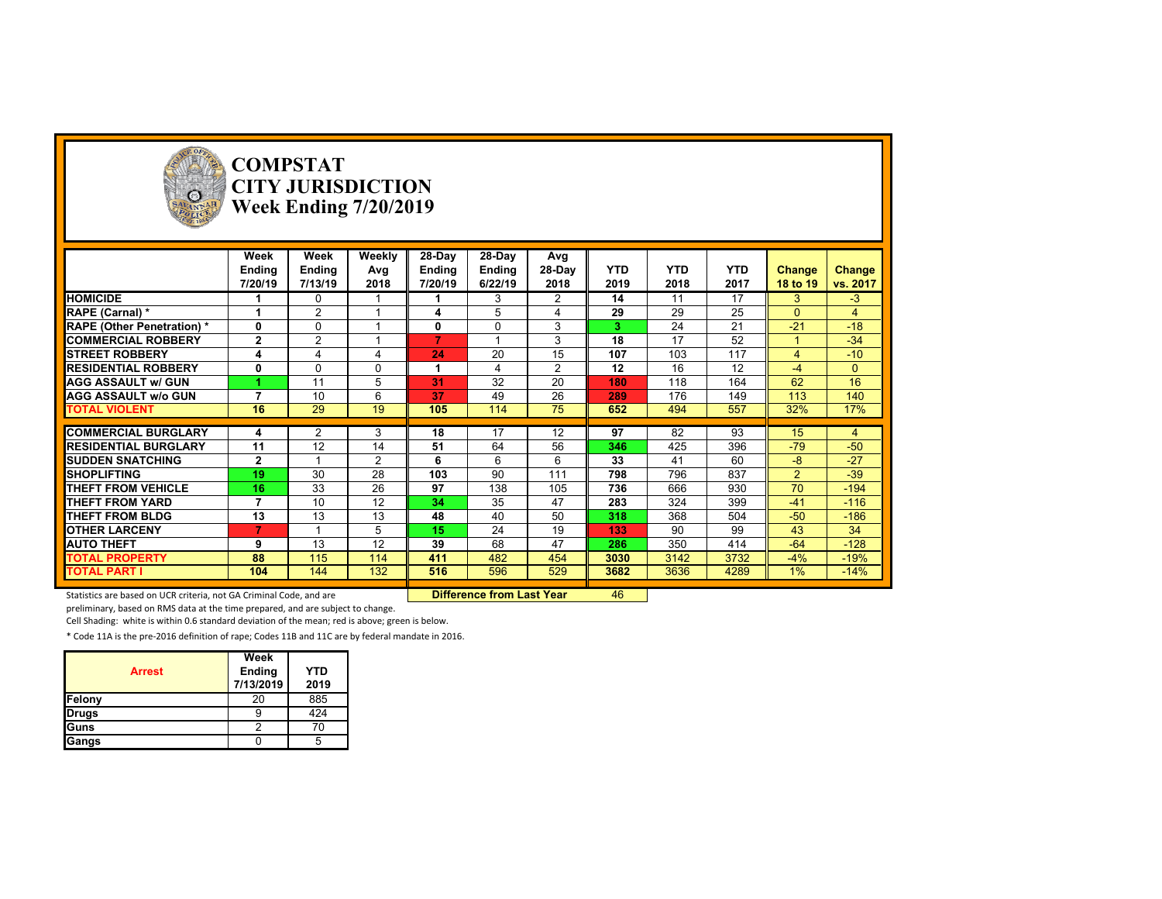

# **COMPSTAT CITY JURISDICTION Week Ending 7/20/2019**

|                                  | Week<br>Ending<br>7/20/19 | Week<br>Ending<br>7/13/19 | <b>Weekly</b><br>Avg<br>2018 | 28-Day<br>Ending<br>7/20/19 | 28-Day<br>Ending<br>6/22/19 | Avg<br>28-Day<br>2018 | <b>YTD</b><br>2019 | <b>YTD</b><br>2018 | <b>YTD</b><br>2017 | Change<br>18 to 19 | Change<br>vs. 2017 |
|----------------------------------|---------------------------|---------------------------|------------------------------|-----------------------------|-----------------------------|-----------------------|--------------------|--------------------|--------------------|--------------------|--------------------|
| <b>HOMICIDE</b>                  |                           | $\Omega$                  |                              |                             | 3                           | 2                     | 14                 | 11                 | 17                 | 3                  | $-3$               |
| <b>RAPE (Carnal) *</b>           |                           | $\overline{2}$            |                              | 4                           | 5                           | 4                     | 29                 | 29                 | 25                 | $\mathbf{0}$       | 4                  |
| <b>RAPE (Other Penetration)*</b> | 0                         | $\mathbf{0}$              |                              | $\bf{0}$                    | $\Omega$                    | 3                     | 3                  | 24                 | 21                 | $-21$              | $-18$              |
| <b>COMMERCIAL ROBBERY</b>        | $\mathbf{2}$              | $\overline{2}$            |                              | 7                           |                             | 3                     | 18                 | 17                 | 52                 |                    | $-34$              |
| <b>ISTREET ROBBERY</b>           | 4                         |                           |                              | 24                          | 20                          | 15                    | 107                | 103                | 117                | 4                  | $-10$              |
| <b>RESIDENTIAL ROBBERY</b>       | $\mathbf{0}$              | $\mathbf{0}$              | $\Omega$                     |                             | 4                           | $\overline{2}$        | 12                 | 16                 | 12                 | -4                 | $\Omega$           |
| <b>AGG ASSAULT w/ GUN</b>        |                           | 11                        | 5                            | 31                          | 32                          | 20                    | 180                | 118                | 164                | 62                 | 16                 |
| <b>AGG ASSAULT w/o GUN</b>       |                           | 10                        | 6                            | 37                          | 49                          | 26                    | 289                | 176                | 149                | 113                | 140                |
| <b>TOTAL VIOLENT</b>             | 16                        | 29                        | 19                           | 105                         | 114                         | 75                    | 652                | 494                | 557                | 32%                | 17%                |
|                                  |                           |                           |                              |                             |                             |                       |                    |                    |                    |                    |                    |
| <b>COMMERCIAL BURGLARY</b>       | 4                         | 2                         | 3                            | 18                          | 17                          | 12                    | 97                 | 82                 | 93                 | 15                 | 4                  |
| <b>RESIDENTIAL BURGLARY</b>      | 11                        | 12                        | 14                           | 51                          | 64                          | 56                    | 346                | 425                | 396                | $-79$              | $-50$              |
| <b>SUDDEN SNATCHING</b>          | $\overline{2}$            |                           | $\overline{2}$               | 6                           | 6                           | 6                     | 33                 | 41                 | 60                 | $-8$               | $-27$              |
| <b>SHOPLIFTING</b>               | 19                        | 30                        | 28                           | 103                         | 90                          | 111                   | 798                | 796                | 837                | $\overline{2}$     | $-39$              |
| THEFT FROM VEHICLE               | 16                        | 33                        | 26                           | 97                          | 138                         | 105                   | 736                | 666                | 930                | 70                 | $-194$             |
| <b>THEFT FROM YARD</b>           | 7                         | 10                        | 12                           | 34                          | 35                          | 47                    | 283                | 324                | 399                | $-41$              | $-116$             |
| <b>THEFT FROM BLDG</b>           | 13                        | 13                        | 13                           | 48                          | 40                          | 50                    | 318                | 368                | 504                | $-50$              | $-186$             |
| <b>OTHER LARCENY</b>             | 7                         |                           | 5                            | 15                          | 24                          | 19                    | 133                | 90                 | 99                 | 43                 | 34                 |
| <b>AUTO THEFT</b>                | 9                         | 13                        | 12                           | 39                          | 68                          | 47                    | 286                | 350                | 414                | $-64$              | $-128$             |
| <b>TOTAL PROPERTY</b>            | 88                        | 115                       | 114                          | 411                         | 482                         | 454                   | 3030               | 3142               | 3732               | $-4%$              | $-19%$             |
| <b>TOTAL PART I</b>              | 104                       | 144                       | 132                          | 516                         | 596                         | 529                   | 3682               | 3636               | 4289               | $1\%$              | $-14%$             |

Statistics are based on UCR criteria, not GA Criminal Code, and are **Difference from Last Year** 46

preliminary, based on RMS data at the time prepared, and are subject to change.

Cell Shading: white is within 0.6 standard deviation of the mean; red is above; green is below.

| <b>Arrest</b> | Week<br>Ending<br>7/13/2019 | <b>YTD</b><br>2019 |
|---------------|-----------------------------|--------------------|
| Felony        | 20                          | 885                |
| <b>Drugs</b>  |                             | 424                |
| <b>Guns</b>   |                             |                    |
| Gangs         |                             |                    |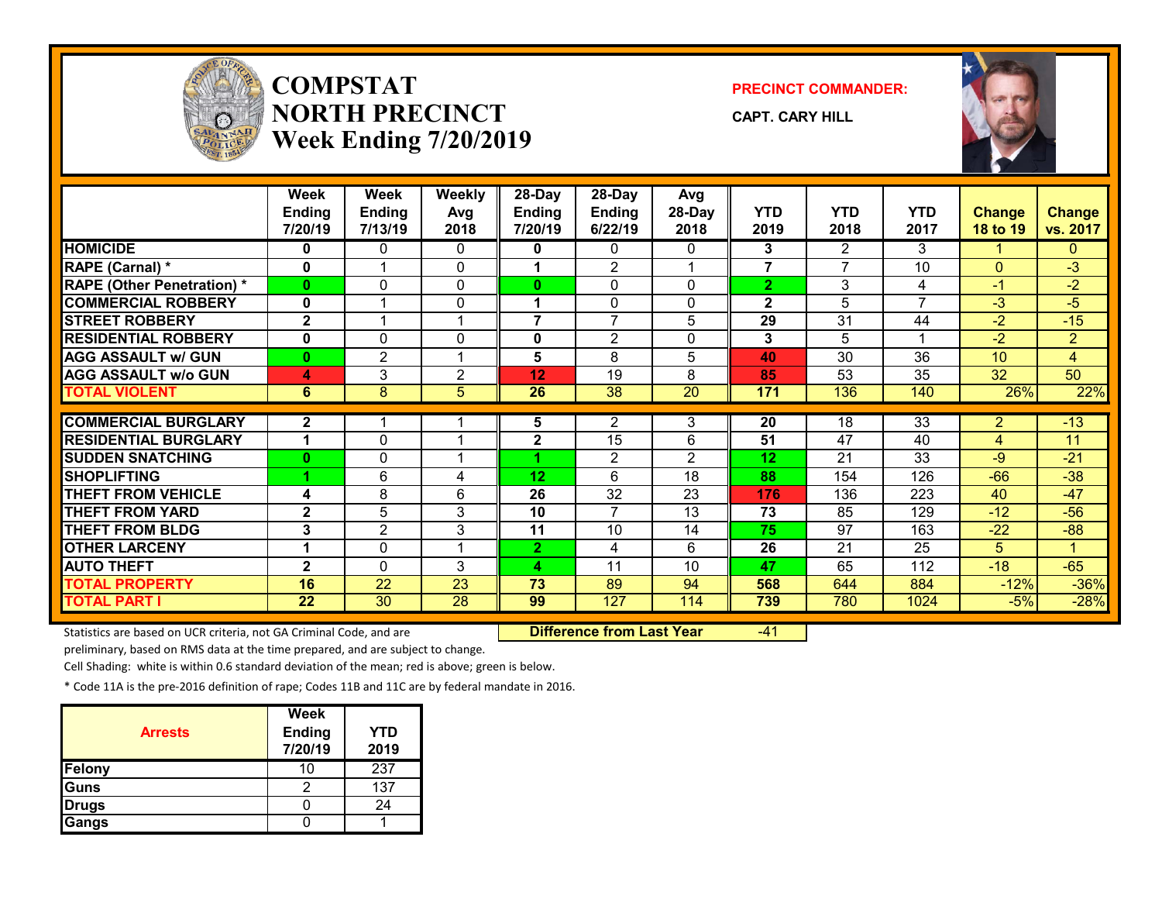

## **COMPSTATNORTH PRECINCTWeek Ending 7/20/2019**

#### **PRECINCT COMMANDER:**

**CAPT. CARY HILL**



|                                  | <b>Week</b>   | <b>Week</b>             | <b>Weekly</b>   | 28-Day                  | 28-Day          | Avg             |                 |                 |                 |                 |                 |
|----------------------------------|---------------|-------------------------|-----------------|-------------------------|-----------------|-----------------|-----------------|-----------------|-----------------|-----------------|-----------------|
|                                  | <b>Ending</b> | <b>Ending</b>           | Avg             | <b>Ending</b>           | <b>Ending</b>   | 28-Day          | YTD             | <b>YTD</b>      | <b>YTD</b>      | <b>Change</b>   | <b>Change</b>   |
|                                  | 7/20/19       | 7/13/19                 | 2018            | 7/20/19                 | 6/22/19         | 2018            | 2019            | 2018            | 2017            | <b>18 to 19</b> | vs. 2017        |
| <b>HOMICIDE</b>                  | 0             | 0                       | 0               | 0                       | 0               | 0               | 3               | $\overline{2}$  | 3               |                 | 0               |
| <b>RAPE (Carnal) *</b>           | $\bf{0}$      |                         | $\Omega$        | 1                       | $\overline{2}$  |                 | $\overline{7}$  | 7               | 10              | $\Omega$        | $-3$            |
| <b>RAPE (Other Penetration)*</b> | $\bf{0}$      | $\Omega$                | $\Omega$        | $\bf{0}$                | 0               | 0               | $\overline{2}$  | 3               | 4               | $-1$            | $-2$            |
| <b>COMMERCIAL ROBBERY</b>        | 0             | $\overline{\mathbf{A}}$ | 0               | 1                       | 0               | 0               | $\mathbf{2}$    | 5               | $\overline{7}$  | $-3$            | $-5$            |
| <b>STREET ROBBERY</b>            | $\mathbf{2}$  |                         |                 | $\overline{7}$          | $\overline{7}$  | 5               | 29              | 31              | 44              | $-2$            | $-15$           |
| <b>RESIDENTIAL ROBBERY</b>       | $\mathbf 0$   | 0                       | $\Omega$        | 0                       | $\overline{2}$  | 0               | 3               | 5               |                 | $-2$            | $\overline{2}$  |
| <b>AGG ASSAULT w/ GUN</b>        | $\mathbf{0}$  | $\overline{2}$          |                 | 5                       | 8               | 5               | 40              | 30              | 36              | 10              | $\overline{4}$  |
| <b>AGG ASSAULT w/o GUN</b>       | 4             | 3                       | $\overline{2}$  | 12                      | $\overline{19}$ | 8               | 85              | $\overline{53}$ | $\overline{35}$ | $\overline{32}$ | $\overline{50}$ |
| <b>TOTAL VIOLENT</b>             | 6             | 8                       | 5               | 26                      | $\overline{38}$ | $\overline{20}$ | 171             | 136             | 140             | 26%             | 22%             |
|                                  |               |                         |                 |                         |                 |                 |                 |                 |                 |                 |                 |
| <b>COMMERCIAL BURGLARY</b>       | $\mathbf{2}$  |                         |                 | 5                       | 2               | 3               | 20              | 18              | $\overline{33}$ | $\overline{2}$  | $-13$           |
| <b>RESIDENTIAL BURGLARY</b>      |               | 0                       |                 | $\overline{\mathbf{2}}$ | 15              | 6               | $\overline{51}$ | $\overline{47}$ | 40              | 4               | 11              |
| <b>SUDDEN SNATCHING</b>          | $\bf{0}$      | $\Omega$                |                 |                         | 2               | $\overline{2}$  | 12              | 21              | 33              | $-9$            | $-21$           |
| <b>SHOPLIFTING</b>               |               | 6                       | 4               | 12 <sub>2</sub>         | 6               | 18              | 88              | 154             | 126             | $-66$           | $-38$           |
| <b>THEFT FROM VEHICLE</b>        | 4             | 8                       | 6               | 26                      | 32              | 23              | 176             | 136             | 223             | 40              | $-47$           |
| <b>THEFT FROM YARD</b>           | $\mathbf{2}$  | 5                       | 3               | 10                      | 7               | 13              | 73              | 85              | 129             | $-12$           | $-56$           |
| <b>THEFT FROM BLDG</b>           | 3             | $\overline{2}$          | 3               | 11                      | 10              | 14              | 75              | 97              | 163             | $-22$           | $-88$           |
| <b>OTHER LARCENY</b>             |               | $\Omega$                |                 | $\overline{2}$          | 4               | 6               | 26              | 21              | 25              | 5.              |                 |
| <b>AUTO THEFT</b>                | $\mathbf{2}$  | $\Omega$                | 3               | 4                       | 11              | 10 <sup>1</sup> | 47              | 65              | 112             | $-18$           | $-65$           |
| <b>TOTAL PROPERTY</b>            | 16            | 22                      | 23              | 73                      | 89              | 94              | 568             | 644             | 884             | $-12%$          | $-36%$          |
| <b>TOTAL PART I</b>              | 22            | 30                      | $\overline{28}$ | 99                      | 127             | 114             | 739             | 780             | 1024            | $-5%$           | $-28%$          |

Statistics are based on UCR criteria, not GA Criminal Code, and are **Difference from Last Year** -41

preliminary, based on RMS data at the time prepared, and are subject to change.

Cell Shading: white is within 0.6 standard deviation of the mean; red is above; green is below.

| <b>Arrests</b> | <b>Week</b><br><b>Ending</b><br>7/20/19 | YTD<br>2019 |
|----------------|-----------------------------------------|-------------|
| Felony         |                                         | 237         |
| Guns           |                                         | 137         |
| <b>Drugs</b>   |                                         | 24          |
| Gangs          |                                         |             |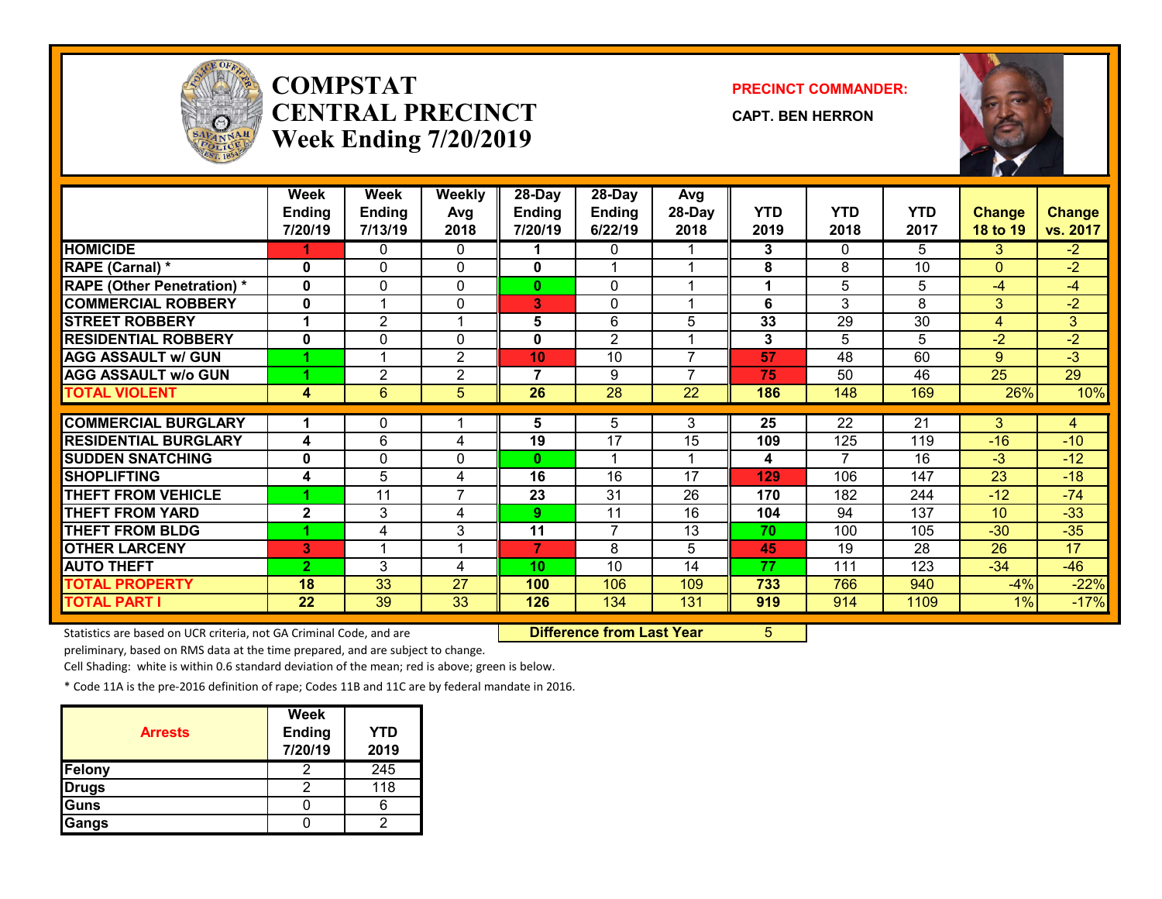

## **COMPSTATCENTRAL PRECINCTWeek Ending 7/20/2019**

#### **PRECINCT COMMANDER:**

**CAPT. BEN HERRON**



|                                   | Week            | Week           | <b>Weekly</b>   | 28-Day         | $28$ -Day      | Avg            |            |                 |                 |                 |                 |
|-----------------------------------|-----------------|----------------|-----------------|----------------|----------------|----------------|------------|-----------------|-----------------|-----------------|-----------------|
|                                   | <b>Ending</b>   | <b>Ending</b>  | Avg             | <b>Ending</b>  | <b>Ending</b>  | 28-Day         | <b>YTD</b> | <b>YTD</b>      | <b>YTD</b>      | <b>Change</b>   | <b>Change</b>   |
|                                   | 7/20/19         | 7/13/19        | 2018            | 7/20/19        | 6/22/19        | 2018           | 2019       | 2018            | 2017            | 18 to 19        | vs. 2017        |
| <b>HOMICIDE</b>                   |                 | 0              | 0               |                | 0              |                | 3          | 0               | 5               | 3.              | $-2$            |
| <b>RAPE (Carnal) *</b>            | 0               | 0              | $\Omega$        | 0              |                |                | 8          | 8               | 10              | $\Omega$        | $-2$            |
| <b>RAPE (Other Penetration) *</b> | $\mathbf{0}$    | 0              | $\Omega$        | $\mathbf{0}$   | $\mathbf{0}$   |                |            | 5               | 5               | -4              | $-4$            |
| <b>COMMERCIAL ROBBERY</b>         | 0               |                | 0               | 3              | 0              |                | 6          | 3               | 8               | 3               | $-2$            |
| <b>STREET ROBBERY</b>             |                 | 2              | 1               | 5              | 6              | 5              | 33         | 29              | 30              | 4               | 3               |
| <b>RESIDENTIAL ROBBERY</b>        | 0               | 0              | $\mathbf{0}$    | 0              | $\overline{2}$ |                | 3          | 5               | 5               | $-2$            | $-2$            |
| <b>AGG ASSAULT w/ GUN</b>         |                 |                | 2               | 10             | 10             | $\overline{ }$ | 57         | 48              | 60              | 9               | $-3$            |
| <b>AGG ASSAULT w/o GUN</b>        |                 | $\overline{2}$ | $\overline{2}$  | 7              | 9              | ⇁              | 75         | 50              | 46              | $\overline{25}$ | $\overline{29}$ |
| <b>TOTAL VIOLENT</b>              | 4               | 6              | 5               | 26             | 28             | 22             | 186        | 148             | 169             | 26%             | 10%             |
|                                   |                 |                |                 |                |                |                |            |                 |                 |                 |                 |
| <b>COMMERCIAL BURGLARY</b>        |                 | 0              |                 | 5              | 5              | 3              | 25         | $\overline{22}$ | $\overline{21}$ | 3               | 4               |
| <b>RESIDENTIAL BURGLARY</b>       | 4               | 6              | 4               | 19             | 17             | 15             | 109        | 125             | 119             | $-16$           | $-10$           |
| <b>SUDDEN SNATCHING</b>           | $\mathbf{0}$    | 0              | $\mathbf{0}$    | $\bf{0}$       |                |                | 4          |                 | 16              | $-3$            | $-12$           |
| <b>SHOPLIFTING</b>                | 4               | 5              | 4               | 16             | 16             | 17             | 129        | 106             | 147             | 23              | $-18$           |
| <b>THEFT FROM VEHICLE</b>         |                 | 11             | 7               | 23             | 31             | 26             | 170        | 182             | 244             | $-12$           | $-74$           |
| <b>THEFT FROM YARD</b>            | $\mathbf{2}$    | 3              | 4               | 9              | 11             | 16             | 104        | 94              | 137             | 10 <sup>1</sup> | $-33$           |
| <b>THEFT FROM BLDG</b>            |                 | 4              | 3               | 11             | $\overline{7}$ | 13             | 70         | 100             | 105             | $-30$           | $-35$           |
| <b>OTHER LARCENY</b>              | 3               |                | 1               | $\overline{7}$ | 8              | 5              | 45         | 19              | 28              | 26              | 17              |
| <b>AUTO THEFT</b>                 | $\overline{2}$  | 3              | 4               | 10             | 10             | 14             | 77         | 111             | 123             | $-34$           | $-46$           |
| <b>TOTAL PROPERTY</b>             | 18              | 33             | $\overline{27}$ | 100            | 106            | 109            | 733        | 766             | 940             | $-4%$           | $-22%$          |
| <b>TOTAL PART I</b>               | $\overline{22}$ | 39             | $\overline{33}$ | 126            | 134            | 131            | 919        | 914             | 1109            | 1%              | $-17%$          |

Statistics are based on UCR criteria, not GA Criminal Code, and are **Difference from Last Year** 5

preliminary, based on RMS data at the time prepared, and are subject to change.

Cell Shading: white is within 0.6 standard deviation of the mean; red is above; green is below.

| <b>Arrests</b> | <b>Week</b><br><b>Ending</b><br>7/20/19 | YTD<br>2019 |
|----------------|-----------------------------------------|-------------|
| Felony         |                                         | 245         |
| <b>Drugs</b>   |                                         | 118         |
| Guns           |                                         |             |
| Gangs          |                                         |             |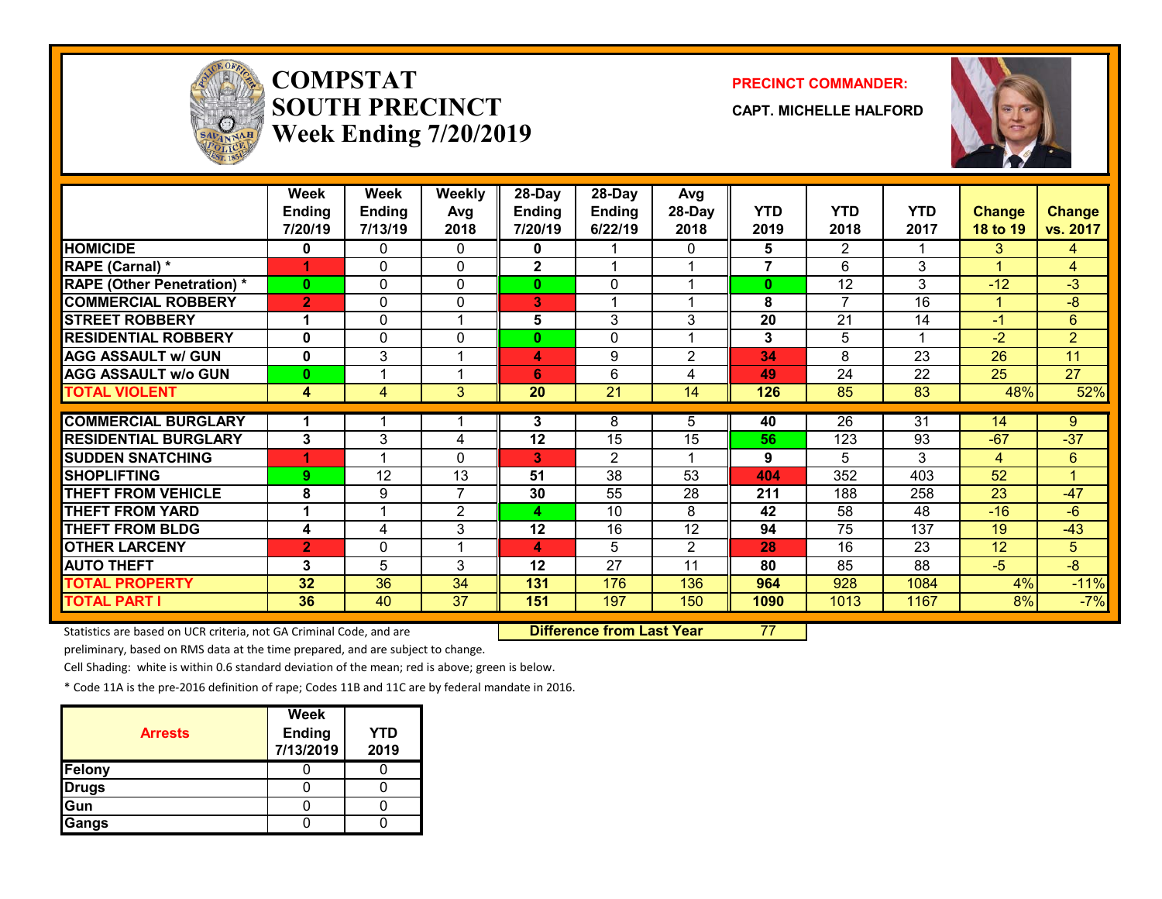

## **COMPSTATSOUTH PRECINCTWeek Ending 7/20/2019**

#### **PRECINCT COMMANDER:**

**CAPT. MICHELLE HALFORD**



|                                   | <b>Week</b><br><b>Ending</b><br>7/20/19 | Week<br><b>Ending</b><br>7/13/19 | Weekly<br>Avg<br>2018 | 28-Day<br><b>Ending</b><br>7/20/19 | 28-Day<br><b>Ending</b><br>6/22/19 | Avg<br>28-Day<br>2018 | <b>YTD</b><br>2019 | <b>YTD</b><br>2018 | <b>YTD</b><br>2017 | <b>Change</b><br><b>18 to 19</b> | Change<br>vs. 2017   |
|-----------------------------------|-----------------------------------------|----------------------------------|-----------------------|------------------------------------|------------------------------------|-----------------------|--------------------|--------------------|--------------------|----------------------------------|----------------------|
| <b>HOMICIDE</b>                   | 0                                       | 0                                | 0                     | 0                                  |                                    | 0                     | 5                  | $\overline{2}$     |                    | 3.                               | 4                    |
| <b>RAPE (Carnal) *</b>            | 4                                       | 0                                | $\mathbf{0}$          | $\mathbf{2}$                       |                                    |                       | $\overline{7}$     | 6                  | 3                  | 1                                | 4                    |
| <b>RAPE (Other Penetration) *</b> | $\bf{0}$                                | 0                                | 0                     | $\mathbf{0}$                       | $\mathbf{0}$                       |                       | $\bf{0}$           | 12                 | 3                  | $-12$                            | -3                   |
| <b>COMMERCIAL ROBBERY</b>         | $\overline{2}$                          | 0                                | $\mathbf{0}$          | 3                                  |                                    |                       | 8                  | $\overline{ }$     | 16                 | 1                                | $-8$                 |
| <b>STREET ROBBERY</b>             | 1                                       | 0                                | $\overline{1}$        | 5                                  | 3                                  | 3                     | 20                 | 21                 | 14                 | $-1$                             | $6^{\circ}$          |
| <b>RESIDENTIAL ROBBERY</b>        | 0                                       | 0                                | $\Omega$              | 0                                  | $\mathbf{0}$                       |                       | 3                  | 5                  |                    | $-2$                             | $\overline{2}$       |
| <b>AGG ASSAULT w/ GUN</b>         | 0                                       | 3                                | 1                     | 4                                  | 9                                  | $\overline{2}$        | 34                 | 8                  | 23                 | 26                               | 11                   |
| <b>AGG ASSAULT w/o GUN</b>        | $\bf{0}$                                |                                  | 1                     | 6                                  | 6                                  | 4                     | 49                 | 24                 | 22                 | 25                               | $\overline{27}$      |
| <b>TOTAL VIOLENT</b>              | 4                                       | 4                                | 3 <sup>1</sup>        | 20                                 | $\overline{21}$                    | 14                    | 126                | 85                 | 83                 | 48%                              | 52%                  |
|                                   |                                         |                                  |                       |                                    |                                    |                       |                    |                    |                    |                                  |                      |
| <b>COMMERCIAL BURGLARY</b>        |                                         |                                  |                       | 3.                                 | 8                                  | 5                     | 40                 | 26                 | 31                 | 14                               | 9                    |
| <b>RESIDENTIAL BURGLARY</b>       | 3                                       | 3                                | 4                     | 12                                 | 15                                 | 15                    | 56                 | 123                | 93                 | $-67$                            | $-37$                |
| <b>SUDDEN SNATCHING</b>           |                                         |                                  | $\Omega$              | 31                                 | 2                                  |                       | 9                  | 5.                 | 3                  | 4                                | $6^{\circ}$          |
| <b>SHOPLIFTING</b>                | 9                                       | 12                               | 13                    | 51                                 | $\overline{38}$                    | 53                    | 404                | 352                | 403                | 52                               | $\blacktriangleleft$ |
| <b>THEFT FROM VEHICLE</b>         | 8                                       | 9                                | 7                     | 30                                 | 55                                 | 28                    | 211                | 188                | 258                | 23                               | $-47$                |
| <b>THEFT FROM YARD</b>            | 1                                       |                                  | $\overline{2}$        | 4                                  | 10                                 | 8                     | 42                 | 58                 | 48                 | $-16$                            | -6                   |
| <b>THEFT FROM BLDG</b>            | 4                                       | 4                                | 3                     | 12                                 | 16                                 | 12                    | 94                 | 75                 | 137                | 19                               | $-43$                |
| <b>OTHER LARCENY</b>              | $\overline{2}$                          | 0                                | 1                     | 4                                  | 5                                  | $\overline{2}$        | 28                 | 16                 | 23                 | 12                               | 5                    |
| <b>AUTO THEFT</b>                 | 3                                       | 5                                | 3                     | 12                                 | 27                                 | 11                    | 80                 | 85                 | 88                 | $-5$                             | -8                   |
| <b>TOTAL PROPERTY</b>             | 32                                      | 36                               | 34                    | 131                                | 176                                | 136                   | 964                | 928                | 1084               | 4%                               | $-11%$               |
| <b>TOTAL PART I</b>               | 36                                      | 40                               | 37                    | 151                                | 197                                | 150                   | 1090               | 1013               | 1167               | 8%                               | $-7%$                |

Statistics are based on UCR criteria, not GA Criminal Code, and are **Difference from Last Year** 77

preliminary, based on RMS data at the time prepared, and are subject to change.

Cell Shading: white is within 0.6 standard deviation of the mean; red is above; green is below.

| <b>Arrests</b> | Week<br><b>Ending</b><br>7/13/2019 | <b>YTD</b><br>2019 |
|----------------|------------------------------------|--------------------|
| Felony         |                                    |                    |
| <b>Drugs</b>   |                                    |                    |
| Gun            |                                    |                    |
| Gangs          |                                    |                    |